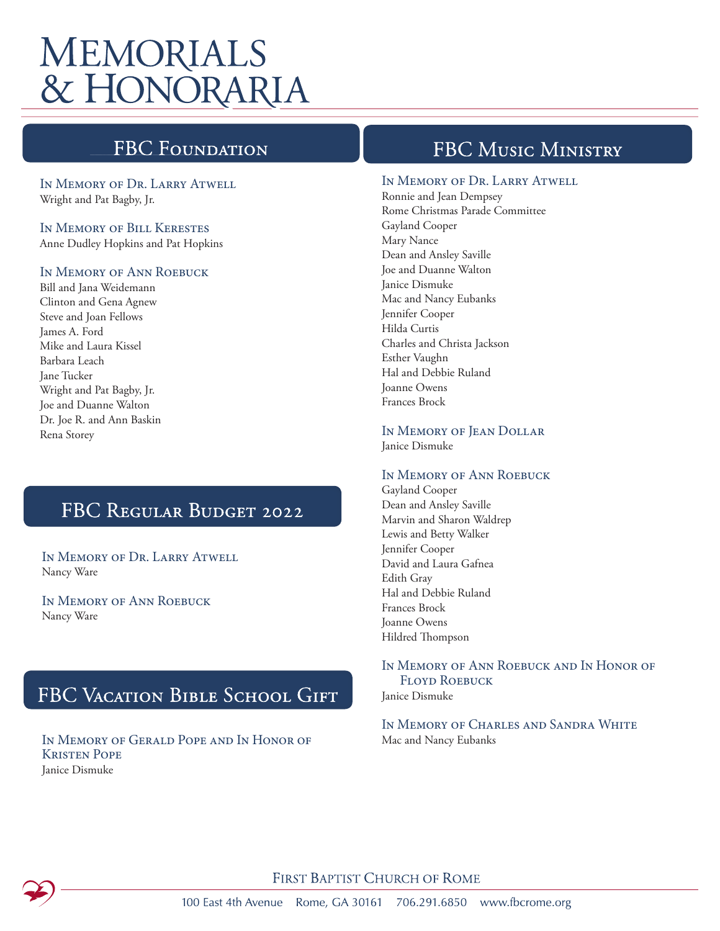# **MEMORIALS** & HONORARIA

## **FBC Foundati**

In Memory of Dr. Larry Atwell Wright and Pat Bagby, Jr.

#### In Memory of Bill Kerestes Anne Dudley Hopkins and Pat Hopkins

#### In Memory of Ann Roebuck

Bill and Jana Weidemann Clinton and Gena Agnew Steve and Joan Fellows James A. Ford Mike and Laura Kissel Barbara Leach Jane Tucker Wright and Pat Bagby, Jr. Joe and Duanne Walton Dr. Joe R. and Ann Baskin Rena Storey

## FBC REGULAR BUDGET 2022

In Memory of Dr. Larry Atwell Nancy Ware

In Memory of Ann Roebuck Nancy Ware

## FBC VACATION BIBLE SCHOOL GIFT

In Memory of Gerald Pope and In Honor of Kristen Pope Janice Dismuke

### FBC MUSIC MINISTRY

#### In Memory of Dr. Larry Atwell

Ronnie and Jean Dempsey Rome Christmas Parade Committee Gayland Cooper Mary Nance Dean and Ansley Saville Joe and Duanne Walton Janice Dismuke Mac and Nancy Eubanks Jennifer Cooper Hilda Curtis Charles and Christa Jackson Esther Vaughn Hal and Debbie Ruland Joanne Owens Frances Brock

In Memory of Jean Dollar Janice Dismuke

#### In Memory of Ann Roebuck

Gayland Cooper Dean and Ansley Saville Marvin and Sharon Waldrep Lewis and Betty Walker Jennifer Cooper David and Laura Gafnea Edith Gray Hal and Debbie Ruland Frances Brock Joanne Owens Hildred Thompson

### In Memory of Ann Roebuck and In Honor of Floyd Roebuck

Janice Dismuke

In Memory of Charles and Sandra White Mac and Nancy Eubanks



FIRST BAPTIST CHURCH OF ROME